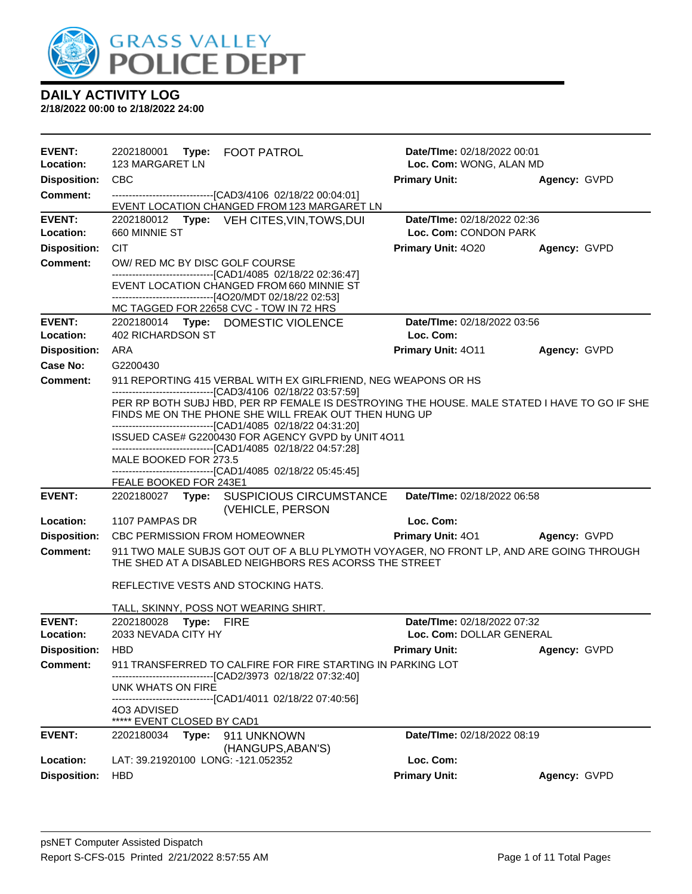

| <b>EVENT:</b>       | 2202180001 Type: FOOT PATROL                                                                                                                                                                                            | <b>Date/Time: 02/18/2022 00:01</b>                      |              |
|---------------------|-------------------------------------------------------------------------------------------------------------------------------------------------------------------------------------------------------------------------|---------------------------------------------------------|--------------|
| Location:           | 123 MARGARET LN                                                                                                                                                                                                         | Loc. Com: WONG, ALAN MD                                 |              |
| <b>Disposition:</b> | <b>CBC</b>                                                                                                                                                                                                              | <b>Primary Unit:</b>                                    | Agency: GVPD |
| <b>Comment:</b>     | --------------------------------[CAD3/4106 02/18/22 00:04:01]<br>EVENT LOCATION CHANGED FROM 123 MARGARET LN                                                                                                            |                                                         |              |
| <b>EVENT:</b>       | 2202180012 Type: VEH CITES, VIN, TOWS, DUI                                                                                                                                                                              | Date/TIme: 02/18/2022 02:36                             |              |
| Location:           | 660 MINNIE ST                                                                                                                                                                                                           | Loc. Com: CONDON PARK                                   |              |
| <b>Disposition:</b> | <b>CIT</b>                                                                                                                                                                                                              | Primary Unit: 4020                                      | Agency: GVPD |
| <b>Comment:</b>     | OW/ RED MC BY DISC GOLF COURSE                                                                                                                                                                                          |                                                         |              |
|                     | -------------------------------[CAD1/4085 02/18/22 02:36:47]<br>EVENT LOCATION CHANGED FROM 660 MINNIE ST<br>------------------------------[4O20/MDT 02/18/22 02:53]                                                    |                                                         |              |
|                     | MC TAGGED FOR 22658 CVC - TOW IN 72 HRS                                                                                                                                                                                 |                                                         |              |
| <b>EVENT:</b>       | 2202180014 Type: DOMESTIC VIOLENCE                                                                                                                                                                                      | Date/TIme: 02/18/2022 03:56                             |              |
| Location:           | <b>402 RICHARDSON ST</b>                                                                                                                                                                                                | Loc. Com:                                               |              |
| <b>Disposition:</b> | ARA                                                                                                                                                                                                                     | Primary Unit: 4011                                      | Agency: GVPD |
| Case No:            | G2200430                                                                                                                                                                                                                |                                                         |              |
| <b>Comment:</b>     | 911 REPORTING 415 VERBAL WITH EX GIRLFRIEND, NEG WEAPONS OR HS                                                                                                                                                          |                                                         |              |
|                     | ---------------------------------[CAD3/4106 02/18/22 03:57:59]<br>PER RP BOTH SUBJ HBD, PER RP FEMALE IS DESTROYING THE HOUSE. MALE STATED I HAVE TO GO IF SHE<br>FINDS ME ON THE PHONE SHE WILL FREAK OUT THEN HUNG UP |                                                         |              |
|                     | --------------------------------[CAD1/4085 02/18/22 04:31:20]<br>ISSUED CASE# G2200430 FOR AGENCY GVPD by UNIT 4O11<br>-------------------------------[CAD1/4085 02/18/22 04:57:28]                                     |                                                         |              |
|                     | MALE BOOKED FOR 273.5                                                                                                                                                                                                   |                                                         |              |
|                     | -------------------------------[CAD1/4085 02/18/22 05:45:45]                                                                                                                                                            |                                                         |              |
| <b>EVENT:</b>       | FEALE BOOKED FOR 243E1<br>2202180027 Type: SUSPICIOUS CIRCUMSTANCE                                                                                                                                                      | Date/TIme: 02/18/2022 06:58                             |              |
|                     | (VEHICLE, PERSON                                                                                                                                                                                                        |                                                         |              |
| Location:           | 1107 PAMPAS DR                                                                                                                                                                                                          | Loc. Com:                                               |              |
| <b>Disposition:</b> | <b>CBC PERMISSION FROM HOMEOWNER</b>                                                                                                                                                                                    | <b>Primary Unit: 401</b>                                | Agency: GVPD |
| <b>Comment:</b>     | 911 TWO MALE SUBJS GOT OUT OF A BLU PLYMOTH VOYAGER, NO FRONT LP, AND ARE GOING THROUGH<br>THE SHED AT A DISABLED NEIGHBORS RES ACORSS THE STREET                                                                       |                                                         |              |
|                     | REFLECTIVE VESTS AND STOCKING HATS.                                                                                                                                                                                     |                                                         |              |
|                     | TALL, SKINNY, POSS NOT WEARING SHIRT.                                                                                                                                                                                   |                                                         |              |
| <b>EVENT:</b>       | 2202180028<br>Type: FIRE<br>2033 NEVADA CITY HY                                                                                                                                                                         | Date/TIme: 02/18/2022 07:32<br>Loc. Com: DOLLAR GENERAL |              |
| Location:           |                                                                                                                                                                                                                         |                                                         |              |
| <b>Disposition:</b> | <b>HBD</b>                                                                                                                                                                                                              | <b>Primary Unit:</b>                                    | Agency: GVPD |
| <b>Comment:</b>     | 911 TRANSFERRED TO CALFIRE FOR FIRE STARTING IN PARKING LOT<br>-----------------------[CAD2/3973_02/18/22 07:32:40]                                                                                                     |                                                         |              |
|                     | UNK WHATS ON FIRE                                                                                                                                                                                                       |                                                         |              |
|                     | ------------------------------[CAD1/4011_02/18/22_07:40:56]<br>4O3 ADVISED                                                                                                                                              |                                                         |              |
|                     | ***** EVENT CLOSED BY CAD1                                                                                                                                                                                              |                                                         |              |
| <b>EVENT:</b>       | 2202180034 Type:<br>911 UNKNOWN<br>(HANGUPS, ABAN'S)                                                                                                                                                                    | Date/TIme: 02/18/2022 08:19                             |              |
| Location:           | LAT: 39.21920100 LONG: -121.052352                                                                                                                                                                                      | Loc. Com:                                               |              |
| <b>Disposition:</b> | <b>HBD</b>                                                                                                                                                                                                              | <b>Primary Unit:</b>                                    | Agency: GVPD |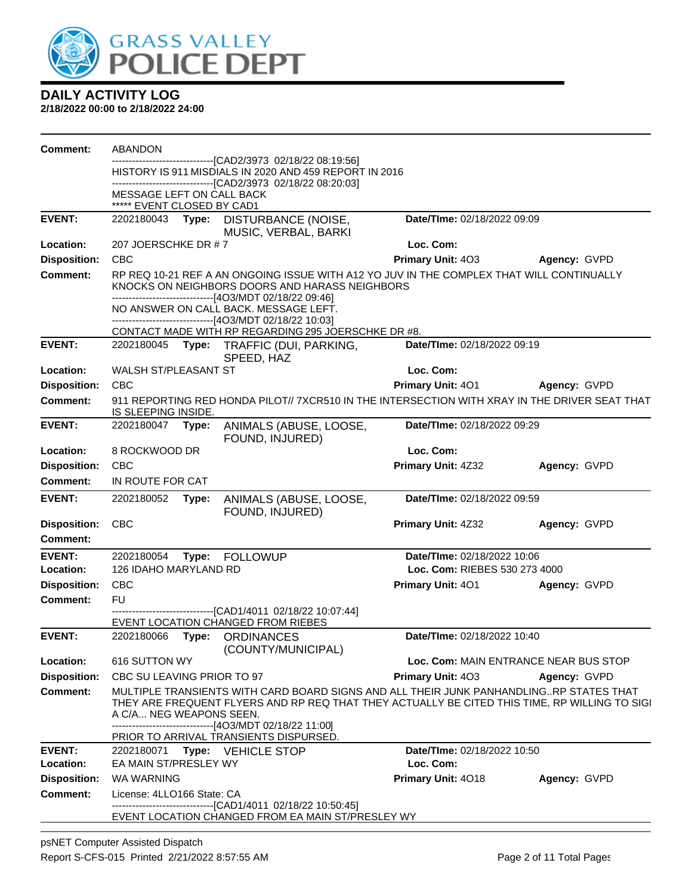

**2/18/2022 00:00 to 2/18/2022 24:00**

| <b>Comment:</b>     | <b>ABANDON</b>                                                                                                                                                                                                                                                                |       |                                                                                                                                                                                                       |                               |                                       |  |
|---------------------|-------------------------------------------------------------------------------------------------------------------------------------------------------------------------------------------------------------------------------------------------------------------------------|-------|-------------------------------------------------------------------------------------------------------------------------------------------------------------------------------------------------------|-------------------------------|---------------------------------------|--|
|                     |                                                                                                                                                                                                                                                                               |       | -----------------[CAD2/3973 02/18/22 08:19:56]<br>HISTORY IS 911 MISDIALS IN 2020 AND 459 REPORT IN 2016                                                                                              |                               |                                       |  |
|                     |                                                                                                                                                                                                                                                                               |       | -------------------------[CAD2/3973 02/18/22 08:20:03]                                                                                                                                                |                               |                                       |  |
|                     | MESSAGE LEFT ON CALL BACK<br>***** EVENT CLOSED BY CAD1                                                                                                                                                                                                                       |       |                                                                                                                                                                                                       |                               |                                       |  |
| <b>EVENT:</b>       |                                                                                                                                                                                                                                                                               |       | 2202180043 Type: DISTURBANCE (NOISE,<br>MUSIC, VERBAL, BARKI                                                                                                                                          | Date/TIme: 02/18/2022 09:09   |                                       |  |
| Location:           | 207 JOERSCHKE DR # 7                                                                                                                                                                                                                                                          |       |                                                                                                                                                                                                       | Loc. Com:                     |                                       |  |
| <b>Disposition:</b> | <b>CBC</b>                                                                                                                                                                                                                                                                    |       |                                                                                                                                                                                                       | Primary Unit: 403             | Agency: GVPD                          |  |
| <b>Comment:</b>     |                                                                                                                                                                                                                                                                               |       | RP REQ 10-21 REF A AN ONGOING ISSUE WITH A12 YO JUV IN THE COMPLEX THAT WILL CONTINUALLY<br>KNOCKS ON NEIGHBORS DOORS AND HARASS NEIGHBORS<br>-------------------------------[4O3/MDT 02/18/22 09:46] |                               |                                       |  |
|                     |                                                                                                                                                                                                                                                                               |       | NO ANSWER ON CALL BACK. MESSAGE LEFT.<br>------------------------------[4O3/MDT 02/18/22 10:03]                                                                                                       |                               |                                       |  |
|                     |                                                                                                                                                                                                                                                                               |       | CONTACT MADE WITH RP REGARDING 295 JOERSCHKE DR #8.                                                                                                                                                   |                               |                                       |  |
| <b>EVENT:</b>       |                                                                                                                                                                                                                                                                               |       | 2202180045 Type: TRAFFIC (DUI, PARKING,<br>SPEED, HAZ                                                                                                                                                 | Date/TIme: 02/18/2022 09:19   |                                       |  |
| Location:           | WALSH ST/PLEASANT ST                                                                                                                                                                                                                                                          |       |                                                                                                                                                                                                       | Loc. Com:                     |                                       |  |
| <b>Disposition:</b> | <b>CBC</b>                                                                                                                                                                                                                                                                    |       |                                                                                                                                                                                                       | Primary Unit: 401             | Agency: GVPD                          |  |
| <b>Comment:</b>     | IS SLEEPING INSIDE.                                                                                                                                                                                                                                                           |       | 911 REPORTING RED HONDA PILOT// 7XCR510 IN THE INTERSECTION WITH XRAY IN THE DRIVER SEAT THAT                                                                                                         |                               |                                       |  |
| <b>EVENT:</b>       | 2202180047                                                                                                                                                                                                                                                                    | Type: | ANIMALS (ABUSE, LOOSE,<br>FOUND, INJURED)                                                                                                                                                             | Date/TIme: 02/18/2022 09:29   |                                       |  |
| Location:           | 8 ROCKWOOD DR                                                                                                                                                                                                                                                                 |       |                                                                                                                                                                                                       | Loc. Com:                     |                                       |  |
| <b>Disposition:</b> | <b>CBC</b>                                                                                                                                                                                                                                                                    |       |                                                                                                                                                                                                       | Primary Unit: 4Z32            | Agency: GVPD                          |  |
| <b>Comment:</b>     | IN ROUTE FOR CAT                                                                                                                                                                                                                                                              |       |                                                                                                                                                                                                       |                               |                                       |  |
| EVENT:              | 2202180052                                                                                                                                                                                                                                                                    | Type: | ANIMALS (ABUSE, LOOSE,<br>FOUND, INJURED)                                                                                                                                                             | Date/TIme: 02/18/2022 09:59   |                                       |  |
| <b>Disposition:</b> | CBC                                                                                                                                                                                                                                                                           |       |                                                                                                                                                                                                       | Primary Unit: 4Z32            | Agency: GVPD                          |  |
| Comment:            |                                                                                                                                                                                                                                                                               |       |                                                                                                                                                                                                       |                               |                                       |  |
| <b>EVENT:</b>       | 2202180054                                                                                                                                                                                                                                                                    | Type: | <b>FOLLOWUP</b>                                                                                                                                                                                       | Date/TIme: 02/18/2022 10:06   |                                       |  |
| Location:           | 126 IDAHO MARYLAND RD                                                                                                                                                                                                                                                         |       |                                                                                                                                                                                                       | Loc. Com: RIEBES 530 273 4000 |                                       |  |
| <b>Disposition:</b> | <b>CBC</b>                                                                                                                                                                                                                                                                    |       |                                                                                                                                                                                                       | <b>Primary Unit: 401</b>      | Agency: GVPD                          |  |
| <b>Comment:</b>     | <b>FU</b>                                                                                                                                                                                                                                                                     |       |                                                                                                                                                                                                       |                               |                                       |  |
|                     |                                                                                                                                                                                                                                                                               |       | ------------------------------[CAD1/4011 02/18/22 10:07:44]<br>EVENT LOCATION CHANGED FROM RIEBES                                                                                                     |                               |                                       |  |
| <b>EVENT:</b>       | 2202180066                                                                                                                                                                                                                                                                    |       | Type: ORDINANCES<br>(COUNTY/MUNICIPAL)                                                                                                                                                                | Date/TIme: 02/18/2022 10:40   |                                       |  |
| Location:           | 616 SUTTON WY                                                                                                                                                                                                                                                                 |       |                                                                                                                                                                                                       |                               | Loc. Com: MAIN ENTRANCE NEAR BUS STOP |  |
| <b>Disposition:</b> | CBC SU LEAVING PRIOR TO 97                                                                                                                                                                                                                                                    |       |                                                                                                                                                                                                       | <b>Primary Unit: 403</b>      | Agency: GVPD                          |  |
| <b>Comment:</b>     | MULTIPLE TRANSIENTS WITH CARD BOARD SIGNS AND ALL THEIR JUNK PANHANDLINGRP STATES THAT<br>THEY ARE FREQUENT FLYERS AND RP REQ THAT THEY ACTUALLY BE CITED THIS TIME, RP WILLING TO SIGI<br>A C/A NEG WEAPONS SEEN.<br>-------------------------------[4O3/MDT 02/18/22 11:00] |       |                                                                                                                                                                                                       |                               |                                       |  |
|                     |                                                                                                                                                                                                                                                                               |       | PRIOR TO ARRIVAL TRANSIENTS DISPURSED.                                                                                                                                                                |                               |                                       |  |
| <b>EVENT:</b>       | 2202180071                                                                                                                                                                                                                                                                    |       | Type: VEHICLE STOP                                                                                                                                                                                    | Date/TIme: 02/18/2022 10:50   |                                       |  |
| Location:           | EA MAIN ST/PRESLEY WY                                                                                                                                                                                                                                                         |       |                                                                                                                                                                                                       | Loc. Com:                     |                                       |  |
| <b>Disposition:</b> | <b>WA WARNING</b>                                                                                                                                                                                                                                                             |       |                                                                                                                                                                                                       | Primary Unit: 4018            | Agency: GVPD                          |  |
| Comment:            | License: 4LLO166 State: CA                                                                                                                                                                                                                                                    |       | --------------------------[CAD1/4011_02/18/22_10:50:45]                                                                                                                                               |                               |                                       |  |
|                     |                                                                                                                                                                                                                                                                               |       | EVENT LOCATION CHANGED FROM EA MAIN ST/PRESLEY WY                                                                                                                                                     |                               |                                       |  |

psNET Computer Assisted Dispatch Report S-CFS-015 Printed 2/21/2022 8:57:55 AM Page 2 of 11 Total Pages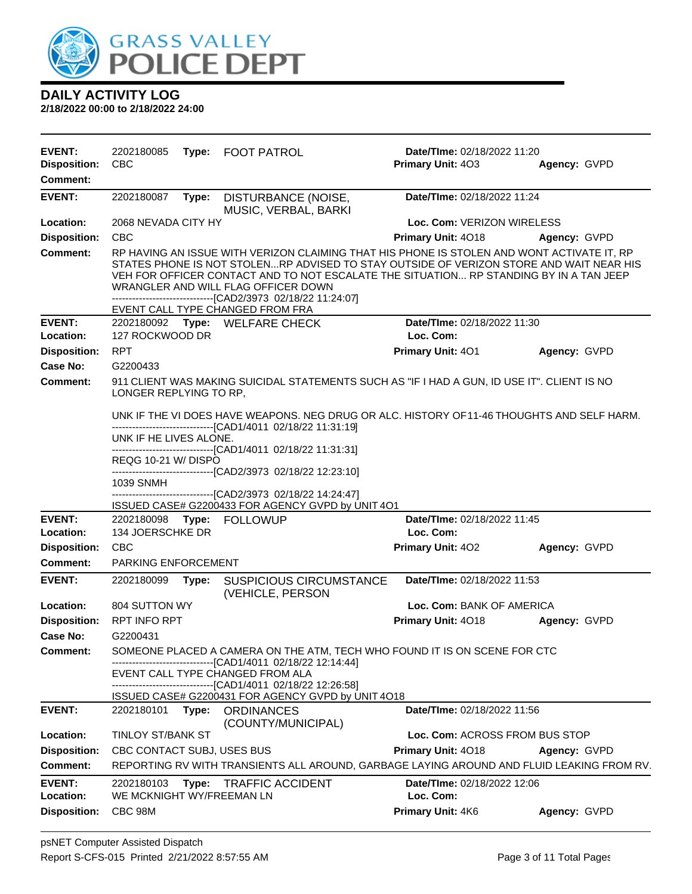

| <b>EVENT:</b><br><b>Disposition:</b><br><b>Comment:</b> | 2202180085<br><b>CBC</b>                                                                                                                                   |       | Type: FOOT PATROL                                                                                                                                                                                                                                                                        | Date/TIme: 02/18/2022 11:20<br>Primary Unit: 403 | Agency: GVPD |  |
|---------------------------------------------------------|------------------------------------------------------------------------------------------------------------------------------------------------------------|-------|------------------------------------------------------------------------------------------------------------------------------------------------------------------------------------------------------------------------------------------------------------------------------------------|--------------------------------------------------|--------------|--|
|                                                         |                                                                                                                                                            |       |                                                                                                                                                                                                                                                                                          |                                                  |              |  |
| <b>EVENT:</b>                                           | 2202180087                                                                                                                                                 | Type: | DISTURBANCE (NOISE,<br>MUSIC, VERBAL, BARKI                                                                                                                                                                                                                                              | Date/TIme: 02/18/2022 11:24                      |              |  |
| Location:                                               | 2068 NEVADA CITY HY                                                                                                                                        |       |                                                                                                                                                                                                                                                                                          | Loc. Com: VERIZON WIRELESS                       |              |  |
| <b>Disposition:</b>                                     | <b>CBC</b>                                                                                                                                                 |       |                                                                                                                                                                                                                                                                                          | Primary Unit: 4018                               | Agency: GVPD |  |
| <b>Comment:</b>                                         |                                                                                                                                                            |       | RP HAVING AN ISSUE WITH VERIZON CLAIMING THAT HIS PHONE IS STOLEN AND WONT ACTIVATE IT, RP                                                                                                                                                                                               |                                                  |              |  |
|                                                         |                                                                                                                                                            |       | STATES PHONE IS NOT STOLENRP ADVISED TO STAY OUTSIDE OF VERIZON STORE AND WAIT NEAR HIS<br>VEH FOR OFFICER CONTACT AND TO NOT ESCALATE THE SITUATION RP STANDING BY IN A TAN JEEP<br>WRANGLER AND WILL FLAG OFFICER DOWN<br>-------------------------------[CAD2/3973 02/18/22 11:24:07] |                                                  |              |  |
|                                                         |                                                                                                                                                            |       | EVENT CALL TYPE CHANGED FROM FRA                                                                                                                                                                                                                                                         |                                                  |              |  |
| <b>EVENT:</b>                                           |                                                                                                                                                            |       | 2202180092 Type: WELFARE CHECK                                                                                                                                                                                                                                                           | Date/TIme: 02/18/2022 11:30                      |              |  |
| Location:                                               | 127 ROCKWOOD DR                                                                                                                                            |       |                                                                                                                                                                                                                                                                                          | Loc. Com:                                        |              |  |
| <b>Disposition:</b><br>Case No:                         | <b>RPT</b><br>G2200433                                                                                                                                     |       |                                                                                                                                                                                                                                                                                          | Primary Unit: 401                                | Agency: GVPD |  |
| Comment:                                                |                                                                                                                                                            |       | 911 CLIENT WAS MAKING SUICIDAL STATEMENTS SUCH AS "IF I HAD A GUN, ID USE IT". CLIENT IS NO                                                                                                                                                                                              |                                                  |              |  |
|                                                         | LONGER REPLYING TO RP,                                                                                                                                     |       |                                                                                                                                                                                                                                                                                          |                                                  |              |  |
|                                                         | UNK IF THE VI DOES HAVE WEAPONS. NEG DRUG OR ALC. HISTORY OF 11-46 THOUGHTS AND SELF HARM.<br>-------------------------------[CAD1/4011_02/18/22 11:31:19] |       |                                                                                                                                                                                                                                                                                          |                                                  |              |  |
|                                                         | UNK IF HE LIVES ALONE.                                                                                                                                     |       |                                                                                                                                                                                                                                                                                          |                                                  |              |  |
|                                                         | REQG 10-21 W/DISPO                                                                                                                                         |       | -------------------------------[CAD1/4011_02/18/22 11:31:31]                                                                                                                                                                                                                             |                                                  |              |  |
|                                                         | 1039 SNMH                                                                                                                                                  |       | -------------------------------[CAD2/3973_02/18/22 12:23:10]                                                                                                                                                                                                                             |                                                  |              |  |
|                                                         |                                                                                                                                                            |       | ------------------------------[CAD2/3973_02/18/22 14:24:47]<br>ISSUED CASE# G2200433 FOR AGENCY GVPD by UNIT 4O1                                                                                                                                                                         |                                                  |              |  |
| <b>EVENT:</b>                                           |                                                                                                                                                            |       | 2202180098 Type: FOLLOWUP                                                                                                                                                                                                                                                                | Date/TIme: 02/18/2022 11:45                      |              |  |
| Location:                                               | 134 JOERSCHKE DR                                                                                                                                           |       |                                                                                                                                                                                                                                                                                          | Loc. Com:                                        |              |  |
| <b>Disposition:</b>                                     | <b>CBC</b>                                                                                                                                                 |       |                                                                                                                                                                                                                                                                                          | <b>Primary Unit: 402</b>                         | Agency: GVPD |  |
| <b>Comment:</b>                                         | <b>PARKING ENFORCEMENT</b>                                                                                                                                 |       |                                                                                                                                                                                                                                                                                          |                                                  |              |  |
| <b>EVENT:</b>                                           | 2202180099                                                                                                                                                 | Type: | <b>SUSPICIOUS CIRCUMSTANCE</b><br>(VEHICLE, PERSON                                                                                                                                                                                                                                       | Date/TIme: 02/18/2022 11:53                      |              |  |
| Location:                                               | 804 SUTTON WY                                                                                                                                              |       |                                                                                                                                                                                                                                                                                          | Loc. Com: BANK OF AMERICA                        |              |  |
| <b>Disposition:</b>                                     | <b>RPT INFO RPT</b>                                                                                                                                        |       |                                                                                                                                                                                                                                                                                          | Primary Unit: 4018                               | Agency: GVPD |  |
| Case No:                                                | G2200431                                                                                                                                                   |       |                                                                                                                                                                                                                                                                                          |                                                  |              |  |
| <b>Comment:</b>                                         |                                                                                                                                                            |       | SOMEONE PLACED A CAMERA ON THE ATM, TECH WHO FOUND IT IS ON SCENE FOR CTC<br>----------------------[CAD1/4011_02/18/22 12:14:44]                                                                                                                                                         |                                                  |              |  |
|                                                         |                                                                                                                                                            |       | EVENT CALL TYPE CHANGED FROM ALA                                                                                                                                                                                                                                                         |                                                  |              |  |
|                                                         |                                                                                                                                                            |       | -------------------------------[CAD1/4011 02/18/22 12:26:58]<br>ISSUED CASE# G2200431 FOR AGENCY GVPD by UNIT 4O18                                                                                                                                                                       |                                                  |              |  |
| <b>EVENT:</b>                                           |                                                                                                                                                            |       | 2202180101 Type: ORDINANCES<br>(COUNTY/MUNICIPAL)                                                                                                                                                                                                                                        | Date/TIme: 02/18/2022 11:56                      |              |  |
| Location:                                               | TINLOY ST/BANK ST                                                                                                                                          |       |                                                                                                                                                                                                                                                                                          | Loc. Com: ACROSS FROM BUS STOP                   |              |  |
| <b>Disposition:</b>                                     | CBC CONTACT SUBJ, USES BUS                                                                                                                                 |       |                                                                                                                                                                                                                                                                                          | Primary Unit: 4018                               | Agency: GVPD |  |
| <b>Comment:</b>                                         |                                                                                                                                                            |       | REPORTING RV WITH TRANSIENTS ALL AROUND, GARBAGE LAYING AROUND AND FLUID LEAKING FROM RV.                                                                                                                                                                                                |                                                  |              |  |
| <b>EVENT:</b>                                           | 2202180103                                                                                                                                                 | Type: | <b>TRAFFIC ACCIDENT</b>                                                                                                                                                                                                                                                                  | Date/TIme: 02/18/2022 12:06                      |              |  |
| Location:                                               | WE MCKNIGHT WY/FREEMAN LN                                                                                                                                  |       |                                                                                                                                                                                                                                                                                          | Loc. Com:                                        |              |  |
| <b>Disposition:</b>                                     | CBC 98M                                                                                                                                                    |       |                                                                                                                                                                                                                                                                                          | Primary Unit: 4K6                                | Agency: GVPD |  |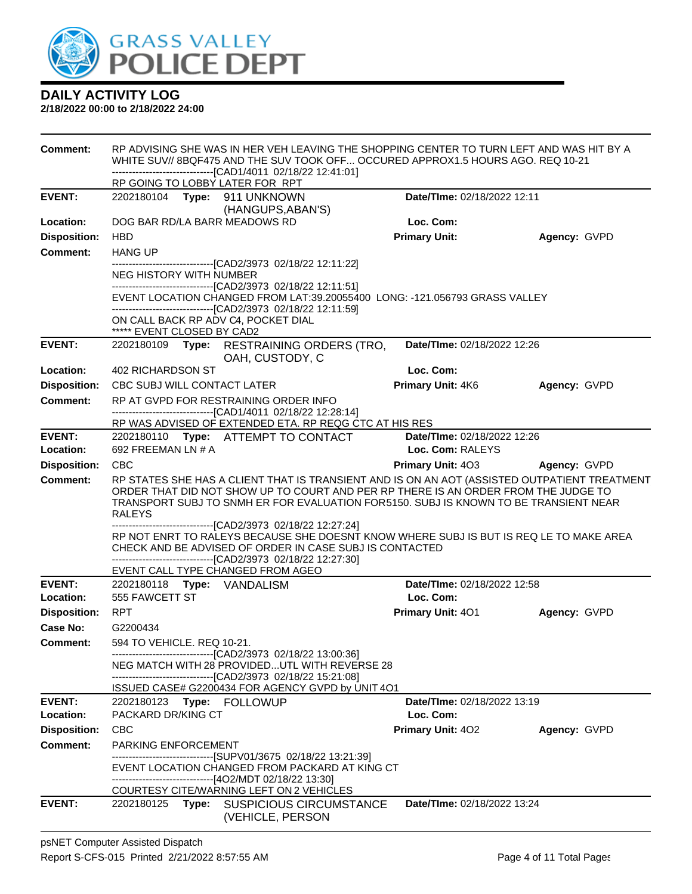

| <b>Comment:</b>     | RP ADVISING SHE WAS IN HER VEH LEAVING THE SHOPPING CENTER TO TURN LEFT AND WAS HIT BY A<br>WHITE SUV// 8BQF475 AND THE SUV TOOK OFF OCCURED APPROX1.5 HOURS AGO. REQ 10-21<br>-------------------------------[CAD1/4011 02/18/22 12:41:01] |                                                                                                                                                                                                                                                                                                                 |                                       |              |  |  |
|---------------------|---------------------------------------------------------------------------------------------------------------------------------------------------------------------------------------------------------------------------------------------|-----------------------------------------------------------------------------------------------------------------------------------------------------------------------------------------------------------------------------------------------------------------------------------------------------------------|---------------------------------------|--------------|--|--|
|                     | RP GOING TO LOBBY LATER FOR RPT                                                                                                                                                                                                             |                                                                                                                                                                                                                                                                                                                 |                                       |              |  |  |
| <b>EVENT:</b>       | 2202180104 Type: 911 UNKNOWN                                                                                                                                                                                                                | (HANGUPS, ABAN'S)                                                                                                                                                                                                                                                                                               | Date/TIme: 02/18/2022 12:11           |              |  |  |
| Location:           | DOG BAR RD/LA BARR MEADOWS RD                                                                                                                                                                                                               |                                                                                                                                                                                                                                                                                                                 | Loc. Com:                             |              |  |  |
| <b>Disposition:</b> | <b>HBD</b>                                                                                                                                                                                                                                  |                                                                                                                                                                                                                                                                                                                 | <b>Primary Unit:</b>                  | Agency: GVPD |  |  |
| <b>Comment:</b>     | <b>HANG UP</b>                                                                                                                                                                                                                              |                                                                                                                                                                                                                                                                                                                 |                                       |              |  |  |
|                     |                                                                                                                                                                                                                                             | -------------------------------[CAD2/3973 02/18/22 12:11:22]                                                                                                                                                                                                                                                    |                                       |              |  |  |
|                     | <b>NEG HISTORY WITH NUMBER</b>                                                                                                                                                                                                              | -------------------------------[CAD2/3973 02/18/22 12:11:51]                                                                                                                                                                                                                                                    |                                       |              |  |  |
|                     |                                                                                                                                                                                                                                             | EVENT LOCATION CHANGED FROM LAT:39.20055400 LONG: -121.056793 GRASS VALLEY<br>--------------------------------[CAD2/3973 02/18/22 12:11:59]                                                                                                                                                                     |                                       |              |  |  |
|                     | ON CALL BACK RP ADV C4, POCKET DIAL                                                                                                                                                                                                         |                                                                                                                                                                                                                                                                                                                 |                                       |              |  |  |
| <b>EVENT:</b>       | ***** EVENT CLOSED BY CAD2                                                                                                                                                                                                                  | 2202180109 Type: RESTRAINING ORDERS (TRO,<br>OAH, CUSTODY, C                                                                                                                                                                                                                                                    | Date/TIme: 02/18/2022 12:26           |              |  |  |
| Location:           | 402 RICHARDSON ST                                                                                                                                                                                                                           |                                                                                                                                                                                                                                                                                                                 | Loc. Com:                             |              |  |  |
| <b>Disposition:</b> | CBC SUBJ WILL CONTACT LATER                                                                                                                                                                                                                 |                                                                                                                                                                                                                                                                                                                 | <b>Primary Unit: 4K6</b>              | Agency: GVPD |  |  |
| <b>Comment:</b>     |                                                                                                                                                                                                                                             | RP AT GVPD FOR RESTRAINING ORDER INFO                                                                                                                                                                                                                                                                           |                                       |              |  |  |
|                     |                                                                                                                                                                                                                                             | -------------------------------[CAD1/4011 02/18/22 12:28:14]<br>RP WAS ADVISED OF EXTENDED ETA. RP REQG CTC AT HIS RES                                                                                                                                                                                          |                                       |              |  |  |
| <b>EVENT:</b>       |                                                                                                                                                                                                                                             | 2202180110 Type: ATTEMPT TO CONTACT                                                                                                                                                                                                                                                                             | Date/TIme: 02/18/2022 12:26           |              |  |  |
| Location:           | 692 FREEMAN LN # A                                                                                                                                                                                                                          |                                                                                                                                                                                                                                                                                                                 | Loc. Com: RALEYS                      |              |  |  |
| <b>Disposition:</b> | <b>CBC</b>                                                                                                                                                                                                                                  |                                                                                                                                                                                                                                                                                                                 | <b>Primary Unit: 403 Agency: GVPD</b> |              |  |  |
| Comment:            | <b>RALEYS</b>                                                                                                                                                                                                                               | RP STATES SHE HAS A CLIENT THAT IS TRANSIENT AND IS ON AN AOT (ASSISTED OUTPATIENT TREATMENT<br>ORDER THAT DID NOT SHOW UP TO COURT AND PER RP THERE IS AN ORDER FROM THE JUDGE TO<br>TRANSPORT SUBJ TO SNMH ER FOR EVALUATION FOR5150. SUBJ IS KNOWN TO BE TRANSIENT NEAR                                      |                                       |              |  |  |
|                     |                                                                                                                                                                                                                                             | -----------------------[CAD2/3973_02/18/22 12:27:24]<br>RP NOT ENRT TO RALEYS BECAUSE SHE DOESNT KNOW WHERE SUBJ IS BUT IS REQ LE TO MAKE AREA<br>CHECK AND BE ADVISED OF ORDER IN CASE SUBJ IS CONTACTED<br>--------------------------------[CAD2/3973 02/18/22 12:27:30]<br>EVENT CALL TYPE CHANGED FROM AGEO |                                       |              |  |  |
| <b>EVENT:</b>       | 2202180118 Type: VANDALISM                                                                                                                                                                                                                  |                                                                                                                                                                                                                                                                                                                 | Date/TIme: 02/18/2022 12:58           |              |  |  |
| Location:           | 555 FAWCETT ST                                                                                                                                                                                                                              |                                                                                                                                                                                                                                                                                                                 | Loc. Com:                             |              |  |  |
| <b>Disposition:</b> | <b>RPT</b>                                                                                                                                                                                                                                  |                                                                                                                                                                                                                                                                                                                 | <b>Primary Unit: 401</b>              | Agency: GVPD |  |  |
| Case No:            | G2200434                                                                                                                                                                                                                                    |                                                                                                                                                                                                                                                                                                                 |                                       |              |  |  |
| <b>Comment:</b>     | 594 TO VEHICLE. REQ 10-21.                                                                                                                                                                                                                  |                                                                                                                                                                                                                                                                                                                 |                                       |              |  |  |
|                     |                                                                                                                                                                                                                                             | --------------------------------[CAD2/3973 02/18/22 13:00:36]<br>NEG MATCH WITH 28 PROVIDEDUTL WITH REVERSE 28<br>-------------------------------[CAD2/3973 02/18/22 15:21:08]                                                                                                                                  |                                       |              |  |  |
|                     |                                                                                                                                                                                                                                             | ISSUED CASE# G2200434 FOR AGENCY GVPD by UNIT 4O1                                                                                                                                                                                                                                                               |                                       |              |  |  |
| <b>EVENT:</b>       | 2202180123 Type: FOLLOWUP                                                                                                                                                                                                                   |                                                                                                                                                                                                                                                                                                                 | Date/TIme: 02/18/2022 13:19           |              |  |  |
| Location:           | PACKARD DR/KING CT                                                                                                                                                                                                                          |                                                                                                                                                                                                                                                                                                                 | Loc. Com:                             |              |  |  |
| <b>Disposition:</b> | <b>CBC</b>                                                                                                                                                                                                                                  |                                                                                                                                                                                                                                                                                                                 | <b>Primary Unit: 402</b>              | Agency: GVPD |  |  |
| <b>Comment:</b>     | PARKING ENFORCEMENT                                                                                                                                                                                                                         | -------------------------------[SUPV01/3675_02/18/22_13:21:39]                                                                                                                                                                                                                                                  |                                       |              |  |  |
|                     |                                                                                                                                                                                                                                             | EVENT LOCATION CHANGED FROM PACKARD AT KING CT<br>---------------------------[4O2/MDT 02/18/22 13:30]                                                                                                                                                                                                           |                                       |              |  |  |
| <b>EVENT:</b>       |                                                                                                                                                                                                                                             | COURTESY CITE/WARNING LEFT ON 2 VEHICLES                                                                                                                                                                                                                                                                        | Date/TIme: 02/18/2022 13:24           |              |  |  |
|                     | 2202180125 <b>Type:</b>                                                                                                                                                                                                                     | <b>SUSPICIOUS CIRCUMSTANCE</b><br>(VEHICLE, PERSON                                                                                                                                                                                                                                                              |                                       |              |  |  |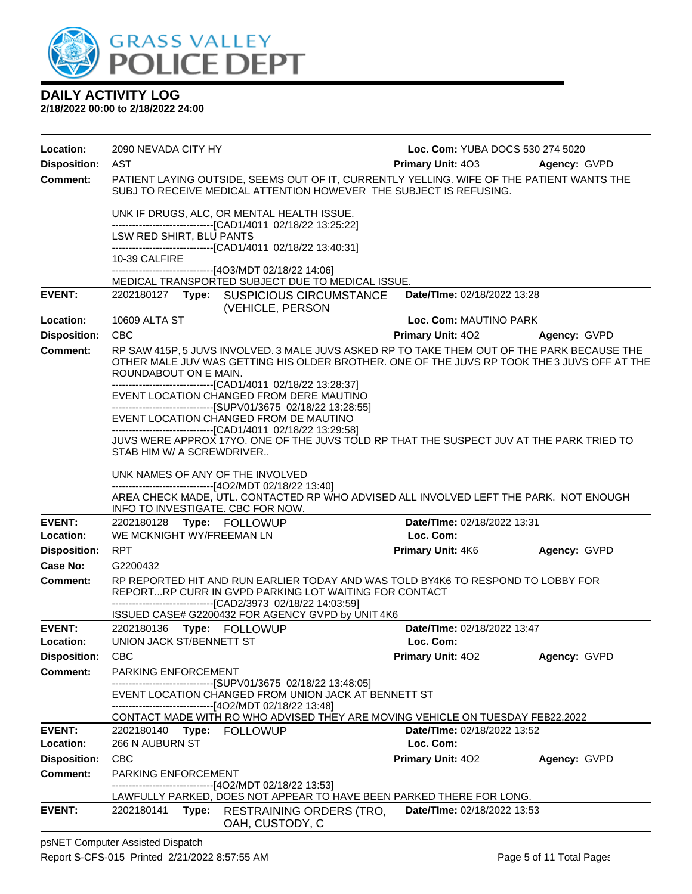

**2/18/2022 00:00 to 2/18/2022 24:00**

| Location:                   | 2090 NEVADA CITY HY                                                                                                                                                                                                  | Loc. Com: YUBA DOCS 530 274 5020         |              |
|-----------------------------|----------------------------------------------------------------------------------------------------------------------------------------------------------------------------------------------------------------------|------------------------------------------|--------------|
| <b>Disposition:</b>         | AST                                                                                                                                                                                                                  | <b>Primary Unit: 403</b>                 | Agency: GVPD |
| <b>Comment:</b>             | PATIENT LAYING OUTSIDE, SEEMS OUT OF IT, CURRENTLY YELLING. WIFE OF THE PATIENT WANTS THE<br>SUBJ TO RECEIVE MEDICAL ATTENTION HOWEVER THE SUBJECT IS REFUSING.                                                      |                                          |              |
|                             | UNK IF DRUGS, ALC, OR MENTAL HEALTH ISSUE.<br>-------------------------------[CAD1/4011 02/18/22 13:25:22]                                                                                                           |                                          |              |
|                             | LSW RED SHIRT, BLU PANTS<br>-------------------------------[CAD1/4011 02/18/22 13:40:31]                                                                                                                             |                                          |              |
|                             | 10-39 CALFIRE                                                                                                                                                                                                        |                                          |              |
|                             | -------------------------------[4O3/MDT 02/18/22 14:06]<br>MEDICAL TRANSPORTED SUBJECT DUE TO MEDICAL ISSUE.                                                                                                         |                                          |              |
| <b>EVENT:</b>               | 2202180127 Type: SUSPICIOUS CIRCUMSTANCE<br>(VEHICLE, PERSON                                                                                                                                                         | Date/TIme: 02/18/2022 13:28              |              |
| Location:                   | 10609 ALTA ST                                                                                                                                                                                                        | Loc. Com: MAUTINO PARK                   |              |
| <b>Disposition:</b>         | <b>CBC</b>                                                                                                                                                                                                           | <b>Primary Unit: 402</b>                 | Agency: GVPD |
| <b>Comment:</b>             | RP SAW 415P, 5 JUVS INVOLVED. 3 MALE JUVS ASKED RP TO TAKE THEM OUT OF THE PARK BECAUSE THE<br>OTHER MALE JUV WAS GETTING HIS OLDER BROTHER. ONE OF THE JUVS RP TOOK THE 3 JUVS OFF AT THE<br>ROUNDABOUT ON E MAIN.  |                                          |              |
|                             | -------------------------------[CAD1/4011 02/18/22 13:28:37]<br>EVENT LOCATION CHANGED FROM DERE MAUTINO<br>-------------------------------[SUPV01/3675 02/18/22 13:28:55]<br>EVENT LOCATION CHANGED FROM DE MAUTINO |                                          |              |
|                             | -------------------------------[CAD1/4011 02/18/22 13:29:58]<br>JUVS WERE APPROX 17YO. ONE OF THE JUVS TOLD RP THAT THE SUSPECT JUV AT THE PARK TRIED TO<br>STAB HIM W/ A SCREWDRIVER                                |                                          |              |
|                             |                                                                                                                                                                                                                      |                                          |              |
|                             | UNK NAMES OF ANY OF THE INVOLVED<br>--------------------------------[4O2/MDT 02/18/22 13:40]                                                                                                                         |                                          |              |
|                             | AREA CHECK MADE, UTL. CONTACTED RP WHO ADVISED ALL INVOLVED LEFT THE PARK. NOT ENOUGH<br>INFO TO INVESTIGATE. CBC FOR NOW.                                                                                           |                                          |              |
| <b>EVENT:</b>               | 2202180128 Type: FOLLOWUP                                                                                                                                                                                            | Date/TIme: 02/18/2022 13:31              |              |
| Location:                   | WE MCKNIGHT WY/FREEMAN LN                                                                                                                                                                                            | Loc. Com:                                |              |
| <b>Disposition:</b>         | <b>RPT</b>                                                                                                                                                                                                           | <b>Primary Unit: 4K6</b>                 | Agency: GVPD |
| Case No:<br><b>Comment:</b> | G2200432<br>RP REPORTED HIT AND RUN EARLIER TODAY AND WAS TOLD BY4K6 TO RESPOND TO LOBBY FOR                                                                                                                         |                                          |              |
|                             | REPORTRP CURR IN GVPD PARKING LOT WAITING FOR CONTACT<br>--------------------------------[CAD2/3973 02/18/22 14:03:59]                                                                                               |                                          |              |
|                             | ISSUED CASE# G2200432 FOR AGENCY GVPD by UNIT 4K6                                                                                                                                                                    |                                          |              |
| <b>EVENT:</b><br>Location:  | 2202180136 Type: FOLLOWUP<br>UNION JACK ST/BENNETT ST                                                                                                                                                                | Date/TIme: 02/18/2022 13:47<br>Loc. Com: |              |
| <b>Disposition:</b>         | <b>CBC</b>                                                                                                                                                                                                           | Primary Unit: 402                        | Agency: GVPD |
| <b>Comment:</b>             | PARKING ENFORCEMENT                                                                                                                                                                                                  |                                          |              |
|                             | -----------------------[SUPV01/3675_02/18/22 13:48:05]                                                                                                                                                               |                                          |              |
|                             | EVENT LOCATION CHANGED FROM UNION JACK AT BENNETT ST<br>-------------------------------[4O2/MDT 02/18/22 13:48]                                                                                                      |                                          |              |
|                             | CONTACT MADE WITH RO WHO ADVISED THEY ARE MOVING VEHICLE ON TUESDAY FEB22,2022                                                                                                                                       |                                          |              |
| <b>EVENT:</b>               | 2202180140<br>Type:<br><b>FOLLOWUP</b>                                                                                                                                                                               | <b>Date/Time: 02/18/2022 13:52</b>       |              |
| Location:                   | 266 N AUBURN ST                                                                                                                                                                                                      | Loc. Com:                                |              |
| <b>Disposition:</b>         | <b>CBC</b>                                                                                                                                                                                                           | <b>Primary Unit: 402</b>                 | Agency: GVPD |
| <b>Comment:</b>             | PARKING ENFORCEMENT<br>-------------------------[4O2/MDT 02/18/22 13:53]                                                                                                                                             |                                          |              |
|                             | LAWFULLY PARKED, DOES NOT APPEAR TO HAVE BEEN PARKED THERE FOR LONG.                                                                                                                                                 |                                          |              |
| <b>EVENT:</b>               | Type:<br>2202180141<br>RESTRAINING ORDERS (TRO,<br>OAH, CUSTODY, C                                                                                                                                                   | Date/TIme: 02/18/2022 13:53              |              |

psNET Computer Assisted Dispatch Report S-CFS-015 Printed 2/21/2022 8:57:55 AM Page 5 of 11 Total Pages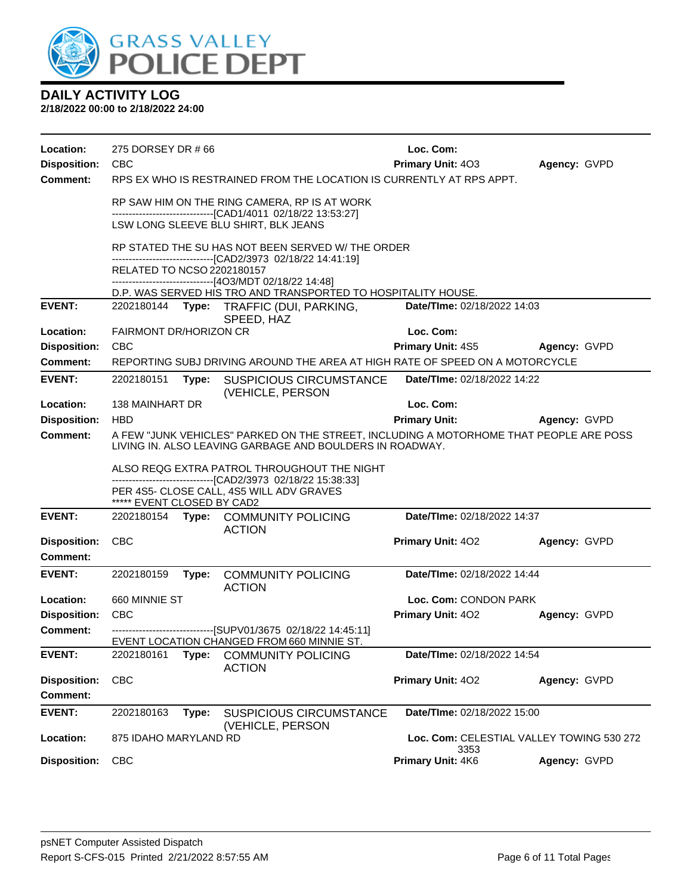

| Location:                       | 275 DORSEY DR #66                           |       |                                                                                                                                                    | Loc. Com:                                         |              |  |
|---------------------------------|---------------------------------------------|-------|----------------------------------------------------------------------------------------------------------------------------------------------------|---------------------------------------------------|--------------|--|
| <b>Disposition:</b>             | CBC                                         |       |                                                                                                                                                    | Primary Unit: 403                                 | Agency: GVPD |  |
| <b>Comment:</b>                 |                                             |       | RPS EX WHO IS RESTRAINED FROM THE LOCATION IS CURRENTLY AT RPS APPT.                                                                               |                                                   |              |  |
|                                 |                                             |       | RP SAW HIM ON THE RING CAMERA, RP IS AT WORK<br>------------------------------[CAD1/4011 02/18/22 13:53:27]                                        |                                                   |              |  |
|                                 |                                             |       | LSW LONG SLEEVE BLU SHIRT, BLK JEANS                                                                                                               |                                                   |              |  |
|                                 |                                             |       | RP STATED THE SU HAS NOT BEEN SERVED W/ THE ORDER                                                                                                  |                                                   |              |  |
|                                 | RELATED TO NCSO 2202180157                  |       | ------------------------------[CAD2/3973 02/18/22 14:41:19]<br>-------------------------------[4O3/MDT 02/18/22 14:48]                             |                                                   |              |  |
|                                 |                                             |       | D.P. WAS SERVED HIS TRO AND TRANSPORTED TO HOSPITALITY HOUSE.                                                                                      |                                                   |              |  |
| <b>EVENT:</b>                   |                                             |       | 2202180144 Type: TRAFFIC (DUI, PARKING,<br>SPEED, HAZ                                                                                              | Date/TIme: 02/18/2022 14:03                       |              |  |
| Location:                       | FAIRMONT DR/HORIZON CR                      |       |                                                                                                                                                    | Loc. Com:                                         |              |  |
| <b>Disposition:</b>             | <b>CBC</b>                                  |       |                                                                                                                                                    | Primary Unit: 4S5                                 | Agency: GVPD |  |
| <b>Comment:</b>                 |                                             |       | REPORTING SUBJ DRIVING AROUND THE AREA AT HIGH RATE OF SPEED ON A MOTORCYCLE                                                                       |                                                   |              |  |
| <b>EVENT:</b>                   | 2202180151                                  |       | Type: SUSPICIOUS CIRCUMSTANCE<br>(VEHICLE, PERSON                                                                                                  | Date/TIme: 02/18/2022 14:22                       |              |  |
| Location:                       | 138 MAINHART DR                             |       |                                                                                                                                                    | Loc. Com:                                         |              |  |
| <b>Disposition:</b>             | <b>HBD</b>                                  |       |                                                                                                                                                    | <b>Primary Unit:</b>                              | Agency: GVPD |  |
| <b>Comment:</b>                 |                                             |       | A FEW "JUNK VEHICLES" PARKED ON THE STREET, INCLUDING A MOTORHOME THAT PEOPLE ARE POSS<br>LIVING IN, ALSO LEAVING GARBAGE AND BOULDERS IN ROADWAY. |                                                   |              |  |
|                                 | ALSO REQG EXTRA PATROL THROUGHOUT THE NIGHT |       |                                                                                                                                                    |                                                   |              |  |
|                                 |                                             |       | --------------------------------[CAD2/3973 02/18/22 15:38:33]                                                                                      |                                                   |              |  |
|                                 |                                             |       | PER 4S5- CLOSE CALL, 4S5 WILL ADV GRAVES                                                                                                           |                                                   |              |  |
| <b>EVENT:</b>                   | ***** EVENT CLOSED BY CAD2                  |       | 2202180154 Type: COMMUNITY POLICING<br><b>ACTION</b>                                                                                               | Date/TIme: 02/18/2022 14:37                       |              |  |
| <b>Disposition:</b><br>Comment: | <b>CBC</b>                                  |       |                                                                                                                                                    | <b>Primary Unit: 402</b>                          | Agency: GVPD |  |
| <b>EVENT:</b>                   | 2202180159                                  | Type: | <b>COMMUNITY POLICING</b>                                                                                                                          | Date/TIme: 02/18/2022 14:44                       |              |  |
| Location:                       | 660 MINNIE ST                               |       | <b>ACTION</b>                                                                                                                                      | Loc. Com: CONDON PARK                             |              |  |
| <b>Disposition:</b>             | <b>CBC</b>                                  |       |                                                                                                                                                    | Primary Unit: 402                                 | Agency: GVPD |  |
| <b>Comment:</b>                 |                                             |       | ------------------------------[SUPV01/3675 02/18/22 14:45:11]                                                                                      |                                                   |              |  |
|                                 |                                             |       | EVENT LOCATION CHANGED FROM 660 MINNIE ST.                                                                                                         |                                                   |              |  |
| <b>EVENT:</b>                   | 2202180161                                  | Type: | <b>COMMUNITY POLICING</b><br><b>ACTION</b>                                                                                                         | Date/TIme: 02/18/2022 14:54                       |              |  |
| <b>Disposition:</b>             | <b>CBC</b>                                  |       |                                                                                                                                                    | Primary Unit: 402                                 | Agency: GVPD |  |
| <b>Comment:</b>                 |                                             |       |                                                                                                                                                    |                                                   |              |  |
| <b>EVENT:</b>                   | 2202180163                                  | Type: | <b>SUSPICIOUS CIRCUMSTANCE</b>                                                                                                                     | Date/TIme: 02/18/2022 15:00                       |              |  |
| Location:                       | 875 IDAHO MARYLAND RD                       |       | (VEHICLE, PERSON                                                                                                                                   | Loc. Com: CELESTIAL VALLEY TOWING 530 272<br>3353 |              |  |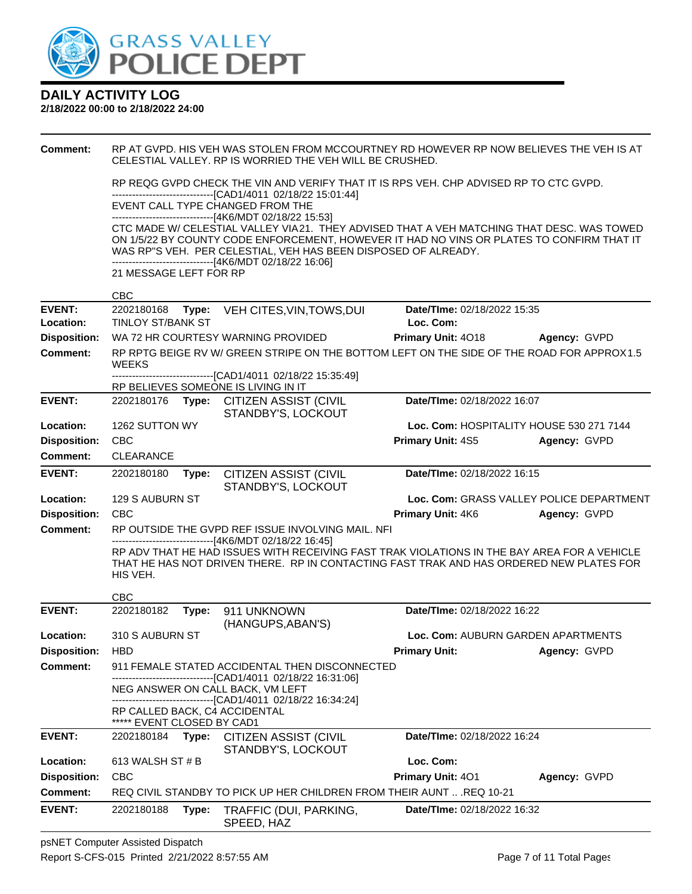

| <b>Comment:</b>     |                            |       | RP AT GVPD. HIS VEH WAS STOLEN FROM MCCOURTNEY RD HOWEVER RP NOW BELIEVES THE VEH IS AT<br>CELESTIAL VALLEY, RP IS WORRIED THE VEH WILL BE CRUSHED.                                    |                                          |                                          |
|---------------------|----------------------------|-------|----------------------------------------------------------------------------------------------------------------------------------------------------------------------------------------|------------------------------------------|------------------------------------------|
|                     |                            |       | RP REQG GVPD CHECK THE VIN AND VERIFY THAT IT IS RPS VEH. CHP ADVISED RP TO CTC GVPD.<br>---------------------------------[CAD1/4011_02/18/22_15:01:44]                                |                                          |                                          |
|                     |                            |       | EVENT CALL TYPE CHANGED FROM THE<br>-------------------------------[4K6/MDT 02/18/22 15:53]                                                                                            |                                          |                                          |
|                     |                            |       | CTC MADE W/ CELESTIAL VALLEY VIA21. THEY ADVISED THAT A VEH MATCHING THAT DESC. WAS TOWED                                                                                              |                                          |                                          |
|                     |                            |       | ON 1/5/22 BY COUNTY CODE ENFORCEMENT, HOWEVER IT HAD NO VINS OR PLATES TO CONFIRM THAT IT<br>WAS RP"S VEH. PER CELESTIAL, VEH HAS BEEN DISPOSED OF ALREADY.                            |                                          |                                          |
|                     | 21 MESSAGE LEFT FOR RP     |       | -------------------------------[4K6/MDT 02/18/22 16:06]                                                                                                                                |                                          |                                          |
|                     | <b>CBC</b>                 |       |                                                                                                                                                                                        |                                          |                                          |
| <b>EVENT:</b>       | 2202180168                 |       | Type: VEH CITES, VIN, TOWS, DUI                                                                                                                                                        | Date/TIme: 02/18/2022 15:35              |                                          |
| Location:           | <b>TINLOY ST/BANK ST</b>   |       |                                                                                                                                                                                        | Loc. Com:                                |                                          |
| <b>Disposition:</b> |                            |       | WA 72 HR COURTESY WARNING PROVIDED                                                                                                                                                     | Primary Unit: 4018                       | Agency: GVPD                             |
| <b>Comment:</b>     | <b>WEEKS</b>               |       | RP RPTG BEIGE RV W/ GREEN STRIPE ON THE BOTTOM LEFT ON THE SIDE OF THE ROAD FOR APPROX1.5                                                                                              |                                          |                                          |
|                     |                            |       | -------------------------------[CAD1/4011_02/18/22_15:35:49]<br>RP BELIEVES SOMEONE IS LIVING IN IT                                                                                    |                                          |                                          |
| <b>EVENT:</b>       |                            |       | 2202180176 Type: CITIZEN ASSIST (CIVIL<br>STANDBY'S, LOCKOUT                                                                                                                           | Date/TIme: 02/18/2022 16:07              |                                          |
| Location:           | 1262 SUTTON WY             |       |                                                                                                                                                                                        | Loc. Com: HOSPITALITY HOUSE 530 271 7144 |                                          |
| <b>Disposition:</b> | <b>CBC</b>                 |       |                                                                                                                                                                                        | <b>Primary Unit: 4S5</b>                 | Agency: GVPD                             |
| <b>Comment:</b>     | <b>CLEARANCE</b>           |       |                                                                                                                                                                                        |                                          |                                          |
| <b>EVENT:</b>       | 2202180180                 | Type: | <b>CITIZEN ASSIST (CIVIL</b><br>STANDBY'S, LOCKOUT                                                                                                                                     | Date/TIme: 02/18/2022 16:15              |                                          |
| Location:           | 129 S AUBURN ST            |       |                                                                                                                                                                                        |                                          | Loc. Com: GRASS VALLEY POLICE DEPARTMENT |
| <b>Disposition:</b> | <b>CBC</b>                 |       |                                                                                                                                                                                        | <b>Primary Unit: 4K6</b>                 | Agency: GVPD                             |
| <b>Comment:</b>     |                            |       | RP OUTSIDE THE GVPD REF ISSUE INVOLVING MAIL. NFI<br>------------------------[4K6/MDT 02/18/22 16:45]                                                                                  |                                          |                                          |
|                     | HIS VEH.                   |       | RP ADV THAT HE HAD ISSUES WITH RECEIVING FAST TRAK VIOLATIONS IN THE BAY AREA FOR A VEHICLE<br>THAT HE HAS NOT DRIVEN THERE. RP IN CONTACTING FAST TRAK AND HAS ORDERED NEW PLATES FOR |                                          |                                          |
|                     | <b>CBC</b>                 |       |                                                                                                                                                                                        |                                          |                                          |
| <b>EVENT:</b>       | 2202180182                 | Type: | 911 UNKNOWN<br>(HANGUPS, ABAN'S)                                                                                                                                                       | Date/TIme: 02/18/2022 16:22              |                                          |
| Location:           | 310 S AUBURN ST            |       |                                                                                                                                                                                        | Loc. Com: AUBURN GARDEN APARTMENTS       |                                          |
| Disposition: HBD    |                            |       |                                                                                                                                                                                        | <b>Primary Unit:</b>                     | Agency: GVPD                             |
| <b>Comment:</b>     |                            |       | 911 FEMALE STATED ACCIDENTAL THEN DISCONNECTED<br>-------------------------------[CAD1/4011_02/18/22 16:31:06]                                                                         |                                          |                                          |
|                     |                            |       | NEG ANSWER ON CALL BACK, VM LEFT<br>-------------------------------[CAD1/4011_02/18/22_16:34:24]                                                                                       |                                          |                                          |
|                     | ***** EVENT CLOSED BY CAD1 |       | RP CALLED BACK, C4 ACCIDENTAL                                                                                                                                                          |                                          |                                          |
| <b>EVENT:</b>       | 2202180184                 | Type: | <b>CITIZEN ASSIST (CIVIL</b><br>STANDBY'S, LOCKOUT                                                                                                                                     | Date/TIme: 02/18/2022 16:24              |                                          |
| Location:           | 613 WALSH ST # B           |       |                                                                                                                                                                                        | Loc. Com:                                |                                          |
| <b>Disposition:</b> | <b>CBC</b>                 |       |                                                                                                                                                                                        | <b>Primary Unit: 401</b>                 | Agency: GVPD                             |
| <b>Comment:</b>     |                            |       | REQ CIVIL STANDBY TO PICK UP HER CHILDREN FROM THEIR AUNT  REQ 10-21                                                                                                                   |                                          |                                          |
| <b>EVENT:</b>       | 2202180188                 | Type: | TRAFFIC (DUI, PARKING,<br>SPEED, HAZ                                                                                                                                                   | Date/TIme: 02/18/2022 16:32              |                                          |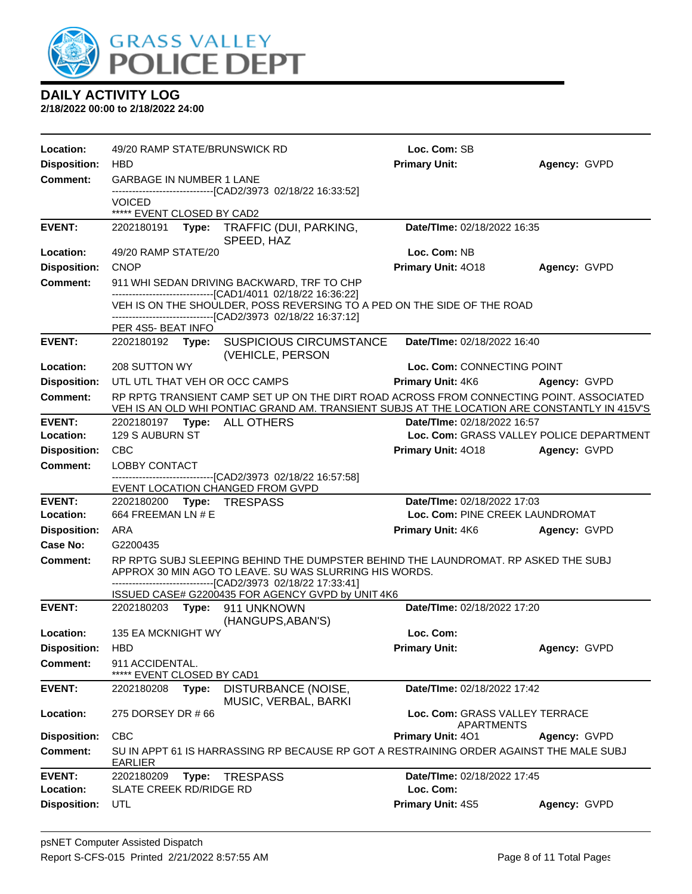

| Location:           | 49/20 RAMP STATE/BRUNSWICK RD                    |                                                                                                                                                                                                             | Loc. Com: SB                                 |              |
|---------------------|--------------------------------------------------|-------------------------------------------------------------------------------------------------------------------------------------------------------------------------------------------------------------|----------------------------------------------|--------------|
| <b>Disposition:</b> | <b>HBD</b>                                       |                                                                                                                                                                                                             | <b>Primary Unit:</b>                         | Agency: GVPD |
| <b>Comment:</b>     | <b>GARBAGE IN NUMBER 1 LANE</b>                  |                                                                                                                                                                                                             |                                              |              |
|                     | VOICED<br>***** EVENT CLOSED BY CAD2             | -------------------------------[CAD2/3973 02/18/22 16:33:52]                                                                                                                                                |                                              |              |
| <b>EVENT:</b>       |                                                  | 2202180191 Type: TRAFFIC (DUI, PARKING,<br>SPEED, HAZ                                                                                                                                                       | Date/TIme: 02/18/2022 16:35                  |              |
| Location:           | 49/20 RAMP STATE/20                              |                                                                                                                                                                                                             | Loc. Com: NB                                 |              |
| <b>Disposition:</b> | <b>CNOP</b>                                      |                                                                                                                                                                                                             | Primary Unit: 4018                           | Agency: GVPD |
| <b>Comment:</b>     |                                                  | 911 WHI SEDAN DRIVING BACKWARD, TRF TO CHP                                                                                                                                                                  |                                              |              |
|                     |                                                  | --------------------------------[CAD1/4011 02/18/22 16:36:22]<br>VEH IS ON THE SHOULDER, POSS REVERSING TO A PED ON THE SIDE OF THE ROAD<br>----------------------[CAD2/3973_02/18/22 16:37:12]             |                                              |              |
| <b>EVENT:</b>       | PER 4S5- BEAT INFO<br>2202180192                 | Type: SUSPICIOUS CIRCUMSTANCE                                                                                                                                                                               | Date/TIme: 02/18/2022 16:40                  |              |
|                     |                                                  | (VEHICLE, PERSON                                                                                                                                                                                            |                                              |              |
| Location:           | 208 SUTTON WY                                    |                                                                                                                                                                                                             | Loc. Com: CONNECTING POINT                   |              |
| <b>Disposition:</b> | UTL UTL THAT VEH OR OCC CAMPS                    |                                                                                                                                                                                                             | <b>Primary Unit: 4K6</b>                     | Agency: GVPD |
| Comment:            |                                                  | RP RPTG TRANSIENT CAMP SET UP ON THE DIRT ROAD ACROSS FROM CONNECTING POINT. ASSOCIATED<br>VEH IS AN OLD WHI PONTIAC GRAND AM. TRANSIENT SUBJS AT THE LOCATION ARE CONSTANTLY IN 415V'S.                    |                                              |              |
| <b>EVENT:</b>       | 2202180197 Type: ALL OTHERS                      |                                                                                                                                                                                                             | Date/TIme: 02/18/2022 16:57                  |              |
| Location:           | 129 S AUBURN ST                                  |                                                                                                                                                                                                             | Loc. Com: GRASS VALLEY POLICE DEPARTMENT     |              |
| <b>Disposition:</b> | <b>CBC</b>                                       |                                                                                                                                                                                                             | Primary Unit: 4018                           | Agency: GVPD |
| <b>Comment:</b>     | LOBBY CONTACT                                    | --------------------------[CAD2/3973 02/18/22 16:57:58]                                                                                                                                                     |                                              |              |
|                     |                                                  | EVENT LOCATION CHANGED FROM GVPD                                                                                                                                                                            |                                              |              |
| <b>EVENT:</b>       | 2202180200 Type: TRESPASS                        |                                                                                                                                                                                                             | Date/TIme: 02/18/2022 17:03                  |              |
| Location:           | 664 FREEMAN LN # E                               |                                                                                                                                                                                                             | Loc. Com: PINE CREEK LAUNDROMAT              |              |
| <b>Disposition:</b> | ARA                                              |                                                                                                                                                                                                             | <b>Primary Unit: 4K6</b>                     | Agency: GVPD |
| Case No:            | G2200435                                         |                                                                                                                                                                                                             |                                              |              |
| Comment:            |                                                  | RP RPTG SUBJ SLEEPING BEHIND THE DUMPSTER BEHIND THE LAUNDROMAT. RP ASKED THE SUBJ<br>APPROX 30 MIN AGO TO LEAVE. SU WAS SLURRING HIS WORDS.<br>------------------------------[CAD2/3973 02/18/22 17:33:41] |                                              |              |
|                     |                                                  | ISSUED CASE# G2200435 FOR AGENCY GVPD by UNIT 4K6                                                                                                                                                           |                                              |              |
| <b>EVENT:</b>       | 2202180203 Type: 911 UNKNOWN                     | (HANGUPS, ABAN'S)                                                                                                                                                                                           | Date/TIme: 02/18/2022 17:20                  |              |
| Location:           | 135 EA MCKNIGHT WY                               |                                                                                                                                                                                                             | Loc. Com:                                    |              |
| <b>Disposition:</b> | <b>HBD</b>                                       |                                                                                                                                                                                                             | <b>Primary Unit:</b>                         | Agency: GVPD |
| <b>Comment:</b>     | 911 ACCIDENTAL.<br>*****<br>EVENT CLOSED BY CAD1 |                                                                                                                                                                                                             |                                              |              |
| <b>EVENT:</b>       | 2202180208<br>Type:                              | DISTURBANCE (NOISE,<br>MUSIC, VERBAL, BARKI                                                                                                                                                                 | Date/TIme: 02/18/2022 17:42                  |              |
| Location:           | 275 DORSEY DR #66                                |                                                                                                                                                                                                             | Loc. Com: GRASS VALLEY TERRACE<br>APARTMENTS |              |
| <b>Disposition:</b> | <b>CBC</b>                                       |                                                                                                                                                                                                             | <b>Primary Unit: 401</b>                     | Agency: GVPD |
| Comment:            | <b>EARLIER</b>                                   | SU IN APPT 61 IS HARRASSING RP BECAUSE RP GOT A RESTRAINING ORDER AGAINST THE MALE SUBJ                                                                                                                     |                                              |              |
| <b>EVENT:</b>       | 2202180209<br>Type:                              | <b>TRESPASS</b>                                                                                                                                                                                             | Date/TIme: 02/18/2022 17:45                  |              |
| Location:           | SLATE CREEK RD/RIDGE RD                          |                                                                                                                                                                                                             | Loc. Com:                                    |              |
| <b>Disposition:</b> | UTL                                              |                                                                                                                                                                                                             | Primary Unit: 4S5                            | Agency: GVPD |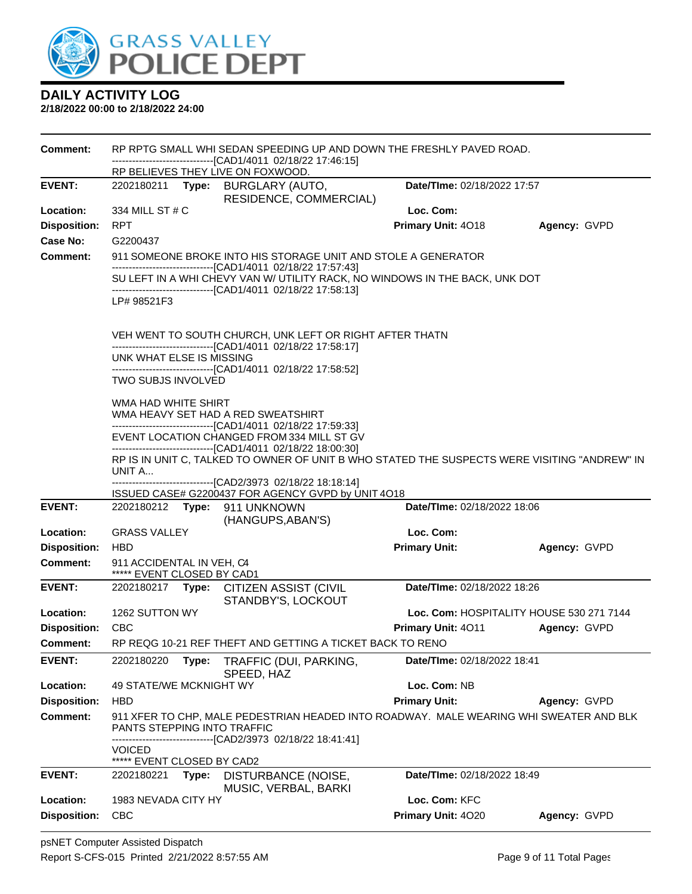

| <b>Comment:</b>     | RP RPTG SMALL WHI SEDAN SPEEDING UP AND DOWN THE FRESHLY PAVED ROAD.<br>------------------------[CAD1/4011_02/18/22 17:46:15] |                                                                                                                                                 |                                                                                                                                             |                                          |              |  |  |  |
|---------------------|-------------------------------------------------------------------------------------------------------------------------------|-------------------------------------------------------------------------------------------------------------------------------------------------|---------------------------------------------------------------------------------------------------------------------------------------------|------------------------------------------|--------------|--|--|--|
|                     |                                                                                                                               |                                                                                                                                                 | RP BELIEVES THEY LIVE ON FOXWOOD.                                                                                                           |                                          |              |  |  |  |
| <b>EVENT:</b>       | 2202180211                                                                                                                    | Type:                                                                                                                                           | <b>BURGLARY (AUTO,</b><br>RESIDENCE, COMMERCIAL)                                                                                            | Date/TIme: 02/18/2022 17:57              |              |  |  |  |
| Location:           | 334 MILL ST # C                                                                                                               |                                                                                                                                                 |                                                                                                                                             | Loc. Com:                                |              |  |  |  |
| <b>Disposition:</b> | <b>RPT</b>                                                                                                                    |                                                                                                                                                 |                                                                                                                                             | Primary Unit: 4018                       | Agency: GVPD |  |  |  |
| Case No:            | G2200437                                                                                                                      |                                                                                                                                                 |                                                                                                                                             |                                          |              |  |  |  |
| <b>Comment:</b>     |                                                                                                                               |                                                                                                                                                 | 911 SOMEONE BROKE INTO HIS STORAGE UNIT AND STOLE A GENERATOR                                                                               |                                          |              |  |  |  |
|                     |                                                                                                                               |                                                                                                                                                 | -------------------------------[CAD1/4011_02/18/22 17:57:43]<br>SU LEFT IN A WHI CHEVY VAN W/ UTILITY RACK, NO WINDOWS IN THE BACK, UNK DOT |                                          |              |  |  |  |
|                     |                                                                                                                               |                                                                                                                                                 | --------------------------------[CAD1/4011 02/18/22 17:58:13]                                                                               |                                          |              |  |  |  |
|                     | LP# 98521F3                                                                                                                   |                                                                                                                                                 |                                                                                                                                             |                                          |              |  |  |  |
|                     |                                                                                                                               |                                                                                                                                                 | VEH WENT TO SOUTH CHURCH, UNK LEFT OR RIGHT AFTER THATN                                                                                     |                                          |              |  |  |  |
|                     | UNK WHAT ELSE IS MISSING                                                                                                      |                                                                                                                                                 | -------------------------------[CAD1/4011 02/18/22 17:58:17]                                                                                |                                          |              |  |  |  |
|                     |                                                                                                                               |                                                                                                                                                 | -------------------------------[CAD1/4011_02/18/22 17:58:52]                                                                                |                                          |              |  |  |  |
|                     | <b>TWO SUBJS INVOLVED</b>                                                                                                     |                                                                                                                                                 |                                                                                                                                             |                                          |              |  |  |  |
|                     | WMA HAD WHITE SHIRT                                                                                                           |                                                                                                                                                 |                                                                                                                                             |                                          |              |  |  |  |
|                     |                                                                                                                               |                                                                                                                                                 | WMA HEAVY SET HAD A RED SWEATSHIRT<br>--------------------------------[CAD1/4011 02/18/22 17:59:33]                                         |                                          |              |  |  |  |
|                     |                                                                                                                               |                                                                                                                                                 | EVENT LOCATION CHANGED FROM 334 MILL ST GV                                                                                                  |                                          |              |  |  |  |
|                     |                                                                                                                               | ------------------[CAD1/4011_02/18/22_18:00:30]<br>RP IS IN UNIT C, TALKED TO OWNER OF UNIT B WHO STATED THE SUSPECTS WERE VISITING "ANDREW" IN |                                                                                                                                             |                                          |              |  |  |  |
|                     | UNIT A                                                                                                                        |                                                                                                                                                 |                                                                                                                                             |                                          |              |  |  |  |
|                     |                                                                                                                               |                                                                                                                                                 | ---------------------------[CAD2/3973 02/18/22 18:18:14]                                                                                    |                                          |              |  |  |  |
| <b>EVENT:</b>       |                                                                                                                               |                                                                                                                                                 | ISSUED CASE# G2200437 FOR AGENCY GVPD by UNIT 4O18<br>2202180212 Type: 911 UNKNOWN                                                          | Date/TIme: 02/18/2022 18:06              |              |  |  |  |
|                     |                                                                                                                               |                                                                                                                                                 | (HANGUPS, ABAN'S)                                                                                                                           |                                          |              |  |  |  |
| Location:           | <b>GRASS VALLEY</b>                                                                                                           |                                                                                                                                                 |                                                                                                                                             | Loc. Com:                                |              |  |  |  |
| <b>Disposition:</b> | <b>HBD</b>                                                                                                                    |                                                                                                                                                 |                                                                                                                                             | <b>Primary Unit:</b>                     | Agency: GVPD |  |  |  |
| <b>Comment:</b>     | 911 ACCIDENTAL IN VEH, C4<br>***** EVENT CLOSED BY CAD1                                                                       |                                                                                                                                                 |                                                                                                                                             |                                          |              |  |  |  |
| <b>EVENT:</b>       |                                                                                                                               |                                                                                                                                                 | 2202180217 Type: CITIZEN ASSIST (CIVIL<br>STANDBY'S, LOCKOUT                                                                                | Date/TIme: 02/18/2022 18:26              |              |  |  |  |
| <b>Location:</b>    | 1262 SUTTON WY                                                                                                                |                                                                                                                                                 |                                                                                                                                             | Loc. Com: HOSPITALITY HOUSE 530 271 7144 |              |  |  |  |
| <b>Disposition:</b> | CBC                                                                                                                           |                                                                                                                                                 |                                                                                                                                             | <b>Primary Unit: 4011</b>                | Agency: GVPD |  |  |  |
| <b>Comment:</b>     |                                                                                                                               |                                                                                                                                                 | RP REQG 10-21 REF THEFT AND GETTING A TICKET BACK TO RENO                                                                                   |                                          |              |  |  |  |
| <b>EVENT:</b>       | 2202180220                                                                                                                    | Type:                                                                                                                                           | TRAFFIC (DUI, PARKING,<br>SPEED, HAZ                                                                                                        | Date/TIme: 02/18/2022 18:41              |              |  |  |  |
| Location:           | 49 STATE/WE MCKNIGHT WY                                                                                                       |                                                                                                                                                 |                                                                                                                                             | Loc. Com: NB                             |              |  |  |  |
| <b>Disposition:</b> | <b>HBD</b>                                                                                                                    |                                                                                                                                                 |                                                                                                                                             | <b>Primary Unit:</b>                     | Agency: GVPD |  |  |  |
| <b>Comment:</b>     | PANTS STEPPING INTO TRAFFIC                                                                                                   |                                                                                                                                                 | 911 XFER TO CHP, MALE PEDESTRIAN HEADED INTO ROADWAY. MALE WEARING WHI SWEATER AND BLK<br>---------------[CAD2/3973_02/18/22 18:41:41]      |                                          |              |  |  |  |
|                     | <b>VOICED</b>                                                                                                                 |                                                                                                                                                 |                                                                                                                                             |                                          |              |  |  |  |
|                     | ***** EVENT CLOSED BY CAD2                                                                                                    |                                                                                                                                                 |                                                                                                                                             |                                          |              |  |  |  |
| <b>EVENT:</b>       | 2202180221                                                                                                                    | Type:                                                                                                                                           | DISTURBANCE (NOISE,<br>MUSIC, VERBAL, BARKI                                                                                                 | Date/TIme: 02/18/2022 18:49              |              |  |  |  |
| Location:           | 1983 NEVADA CITY HY                                                                                                           |                                                                                                                                                 |                                                                                                                                             | Loc. Com: KFC                            |              |  |  |  |
| <b>Disposition:</b> | <b>CBC</b>                                                                                                                    |                                                                                                                                                 |                                                                                                                                             | Primary Unit: 4020                       | Agency: GVPD |  |  |  |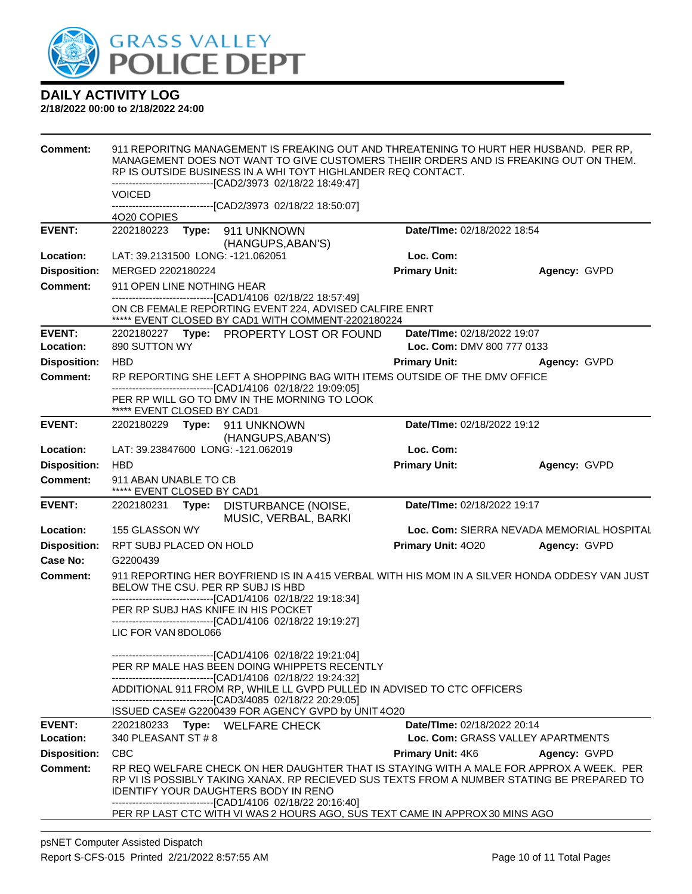

| <b>Comment:</b>     | <b>VOICED</b>                                       |       | 911 REPORITNG MANAGEMENT IS FREAKING OUT AND THREATENING TO HURT HER HUSBAND. PER RP,<br>MANAGEMENT DOES NOT WANT TO GIVE CUSTOMERS THEIIR ORDERS AND IS FREAKING OUT ON THEM.<br>RP IS OUTSIDE BUSINESS IN A WHI TOYT HIGHLANDER REQ CONTACT.<br>------------------------------[CAD2/3973 02/18/22 18:49:47] |                                    |                                                                                                                                                                                       |
|---------------------|-----------------------------------------------------|-------|---------------------------------------------------------------------------------------------------------------------------------------------------------------------------------------------------------------------------------------------------------------------------------------------------------------|------------------------------------|---------------------------------------------------------------------------------------------------------------------------------------------------------------------------------------|
|                     |                                                     |       | -------------------------------[CAD2/3973 02/18/22 18:50:07]                                                                                                                                                                                                                                                  |                                    |                                                                                                                                                                                       |
|                     | 4020 COPIES                                         |       |                                                                                                                                                                                                                                                                                                               |                                    |                                                                                                                                                                                       |
| <b>EVENT:</b>       | 2202180223                                          | Type: | 911 UNKNOWN<br>(HANGUPS, ABAN'S)                                                                                                                                                                                                                                                                              | Date/TIme: 02/18/2022 18:54        |                                                                                                                                                                                       |
| Location:           | LAT: 39.2131500 LONG: -121.062051                   |       |                                                                                                                                                                                                                                                                                                               | Loc. Com:                          |                                                                                                                                                                                       |
| <b>Disposition:</b> | MERGED 2202180224                                   |       |                                                                                                                                                                                                                                                                                                               | <b>Primary Unit:</b>               | Agency: GVPD                                                                                                                                                                          |
| <b>Comment:</b>     | 911 OPEN LINE NOTHING HEAR                          |       |                                                                                                                                                                                                                                                                                                               |                                    |                                                                                                                                                                                       |
|                     |                                                     |       | ------------------------[CAD1/4106_02/18/22 18:57:49]<br>ON CB FEMALE REPORTING EVENT 224, ADVISED CALFIRE ENRT<br>***** EVENT CLOSED BY CAD1 WITH COMMENT-2202180224                                                                                                                                         |                                    |                                                                                                                                                                                       |
| <b>EVENT:</b>       |                                                     |       | 2202180227 Type: PROPERTY LOST OR FOUND                                                                                                                                                                                                                                                                       | Date/TIme: 02/18/2022 19:07        |                                                                                                                                                                                       |
| Location:           | 890 SUTTON WY                                       |       |                                                                                                                                                                                                                                                                                                               | Loc. Com: DMV 800 777 0133         |                                                                                                                                                                                       |
| <b>Disposition:</b> | <b>HBD</b>                                          |       |                                                                                                                                                                                                                                                                                                               | <b>Primary Unit:</b>               | Agency: GVPD                                                                                                                                                                          |
| <b>Comment:</b>     |                                                     |       | RP REPORTING SHE LEFT A SHOPPING BAG WITH ITEMS OUTSIDE OF THE DMV OFFICE<br>---------------------------------[CAD1/4106 02/18/22 19:09:05]                                                                                                                                                                   |                                    |                                                                                                                                                                                       |
|                     | ***** EVENT CLOSED BY CAD1                          |       | PER RP WILL GO TO DMV IN THE MORNING TO LOOK                                                                                                                                                                                                                                                                  |                                    |                                                                                                                                                                                       |
| <b>EVENT:</b>       | 2202180229    Type: 911    UNKNOWN                  |       | (HANGUPS, ABAN'S)                                                                                                                                                                                                                                                                                             | Date/TIme: 02/18/2022 19:12        |                                                                                                                                                                                       |
| Location:           | LAT: 39.23847600 LONG: -121.062019                  |       |                                                                                                                                                                                                                                                                                                               | Loc. Com:                          |                                                                                                                                                                                       |
| <b>Disposition:</b> | <b>HBD</b>                                          |       |                                                                                                                                                                                                                                                                                                               | <b>Primary Unit:</b>               | Agency: GVPD                                                                                                                                                                          |
| <b>Comment:</b>     | 911 ABAN UNABLE TO CB<br>***** EVENT CLOSED BY CAD1 |       |                                                                                                                                                                                                                                                                                                               |                                    |                                                                                                                                                                                       |
| <b>EVENT:</b>       | 2202180231                                          |       | Type: DISTURBANCE (NOISE,<br>MUSIC, VERBAL, BARKI                                                                                                                                                                                                                                                             | Date/TIme: 02/18/2022 19:17        |                                                                                                                                                                                       |
| Location:           | 155 GLASSON WY                                      |       |                                                                                                                                                                                                                                                                                                               |                                    | Loc. Com: SIERRA NEVADA MEMORIAL HOSPITAL                                                                                                                                             |
| <b>Disposition:</b> | RPT SUBJ PLACED ON HOLD                             |       |                                                                                                                                                                                                                                                                                                               | Primary Unit: 4020                 | Agency: GVPD                                                                                                                                                                          |
| <b>Case No:</b>     | G2200439                                            |       |                                                                                                                                                                                                                                                                                                               |                                    |                                                                                                                                                                                       |
| Comment:            | BELOW THE CSU. PER RP SUBJ IS HBD                   |       | -------------------------------[CAD1/4106 02/18/22 19:18:34]                                                                                                                                                                                                                                                  |                                    | 911 REPORTING HER BOYFRIEND IS IN A415 VERBAL WITH HIS MOM IN A SILVER HONDA ODDESY VAN JUST                                                                                          |
|                     | PER RP SUBJ HAS KNIFE IN HIS POCKET                 |       | ------------------------------[CAD1/4106 02/18/22 19:19:27]                                                                                                                                                                                                                                                   |                                    |                                                                                                                                                                                       |
|                     | LIC FOR VAN 8DOL066                                 |       |                                                                                                                                                                                                                                                                                                               |                                    |                                                                                                                                                                                       |
|                     |                                                     |       | -------------------------------[CAD1/4106 02/18/22 19:21:04]                                                                                                                                                                                                                                                  |                                    |                                                                                                                                                                                       |
|                     |                                                     |       | PER RP MALE HAS BEEN DOING WHIPPETS RECENTLY                                                                                                                                                                                                                                                                  |                                    |                                                                                                                                                                                       |
|                     |                                                     |       | -------------------------------[CAD1/4106 02/18/22 19:24:32]<br>ADDITIONAL 911 FROM RP, WHILE LL GVPD PULLED IN ADVISED TO CTC OFFICERS                                                                                                                                                                       |                                    |                                                                                                                                                                                       |
|                     |                                                     |       | -------------------------------[CAD3/4085 02/18/22 20:29:05]                                                                                                                                                                                                                                                  |                                    |                                                                                                                                                                                       |
| <b>EVENT:</b>       |                                                     |       | ISSUED CASE# G2200439 FOR AGENCY GVPD by UNIT 4O20<br>2202180233 Type: WELFARE CHECK                                                                                                                                                                                                                          | <b>Date/Time: 02/18/2022 20:14</b> |                                                                                                                                                                                       |
| Location:           | 340 PLEASANT ST # 8                                 |       |                                                                                                                                                                                                                                                                                                               |                                    | Loc. Com: GRASS VALLEY APARTMENTS                                                                                                                                                     |
| <b>Disposition:</b> | <b>CBC</b>                                          |       |                                                                                                                                                                                                                                                                                                               | <b>Primary Unit: 4K6</b>           | Agency: GVPD                                                                                                                                                                          |
| <b>Comment:</b>     |                                                     |       | <b>IDENTIFY YOUR DAUGHTERS BODY IN RENO</b><br>-----------------------------[CAD1/4106_02/18/22 20:16:40]                                                                                                                                                                                                     |                                    | RP REQ WELFARE CHECK ON HER DAUGHTER THAT IS STAYING WITH A MALE FOR APPROX A WEEK. PER<br>RP VI IS POSSIBLY TAKING XANAX. RP RECIEVED SUS TEXTS FROM A NUMBER STATING BE PREPARED TO |
|                     |                                                     |       | PER RP LAST CTC WITH VI WAS 2 HOURS AGO, SUS TEXT CAME IN APPROX 30 MINS AGO                                                                                                                                                                                                                                  |                                    |                                                                                                                                                                                       |